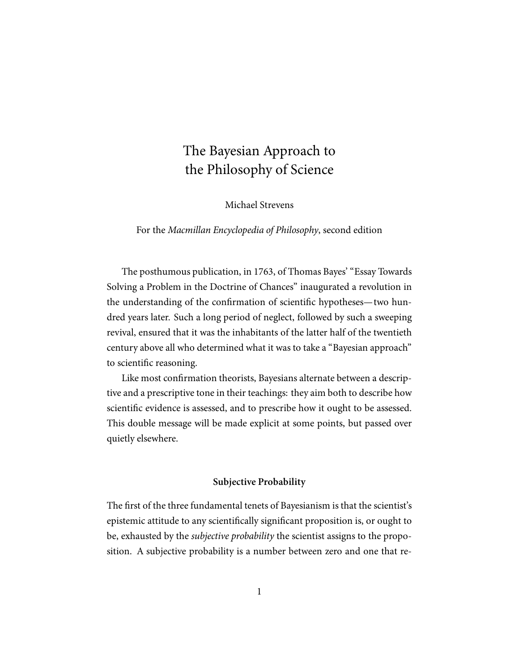# The Bayesian Approach to the Philosophy of Science

Michael Strevens

For the Macmillan Encyclopedia of Philosophy, second edition

The posthumous publication, in 1763, of Thomas Bayes' "Essay Towards Solving a Problem in the Doctrine of Chances" inaugurated a revolution in the understanding of the confirmation of scientific hypotheses—two hundred years later. Such a long period of neglect, followed by such a sweeping revival, ensured that it was the inhabitants of the latter half of the twentieth century above all who determined what it was to take a "Bayesian approach" to scientific reasoning.

Like most confirmation theorists, Bayesians alternate between a descriptive and a prescriptive tone in their teachings: they aim both to describe how scientific evidence is assessed, and to prescribe how it ought to be assessed. This double message will be made explicit at some points, but passed over quietly elsewhere.

#### **Subjective Probability**

The first of the three fundamental tenets of Bayesianism is that the scientist's epistemic attitude to any scientifically significant proposition is, or ought to be, exhausted by the subjective probability the scientist assigns to the proposition. A subjective probability is a number between zero and one that re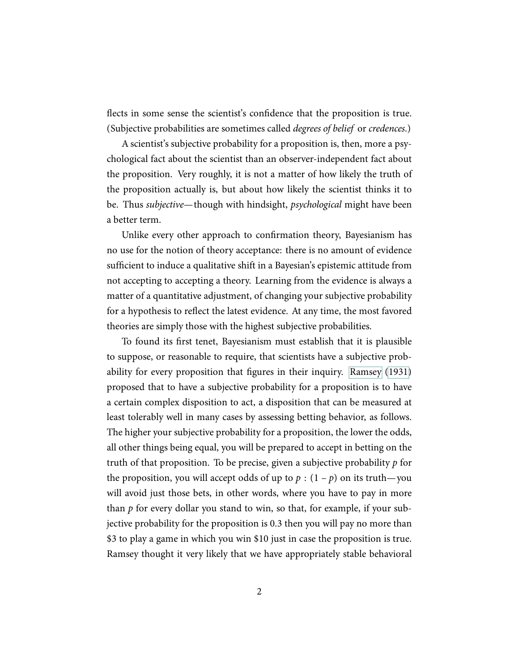flects in some sense the scientist's confidence that the proposition is true. (Subjective probabilities are sometimes called degrees of belief or credences.)

A scientist's subjective probability for a proposition is, then, more a psychological fact about the scientist than an observer-independent fact about the proposition. Very roughly, it is not a matter of how likely the truth of the proposition actually is, but about how likely the scientist thinks it to be. Thus subjective—though with hindsight, psychological might have been a better term.

Unlike every other approach to confirmation theory, Bayesianism has no use for the notion of theory acceptance: there is no amount of evidence sufficient to induce a qualitative shift in a Bayesian's epistemic attitude from not accepting to accepting a theory. Learning from the evidence is always a matter of a quantitative adjustment, of changing your subjective probability for a hypothesis to reflect the latest evidence. At any time, the most favored theories are simply those with the highest subjective probabilities.

To found its first tenet, Bayesianism must establish that it is plausible to suppose, or reasonable to require, that scientists have a subjective probability for every proposition that figures in their inquiry. [Ramsey](#page-18-0) [\(1931\)](#page-18-0) proposed that to have a subjective probability for a proposition is to have a certain complex disposition to act, a disposition that can be measured at least tolerably well in many cases by assessing betting behavior, as follows. The higher your subjective probability for a proposition, the lower the odds, all other things being equal, you will be prepared to accept in betting on the truth of that proposition. To be precise, given a subjective probability  $p$  for the proposition, you will accept odds of up to  $p:(1-p)$  on its truth—you will avoid just those bets, in other words, where you have to pay in more than  $p$  for every dollar you stand to win, so that, for example, if your subjective probability for the proposition is 0.3 then you will pay no more than \$3 to play a game in which you win \$10 just in case the proposition is true. Ramsey thought it very likely that we have appropriately stable behavioral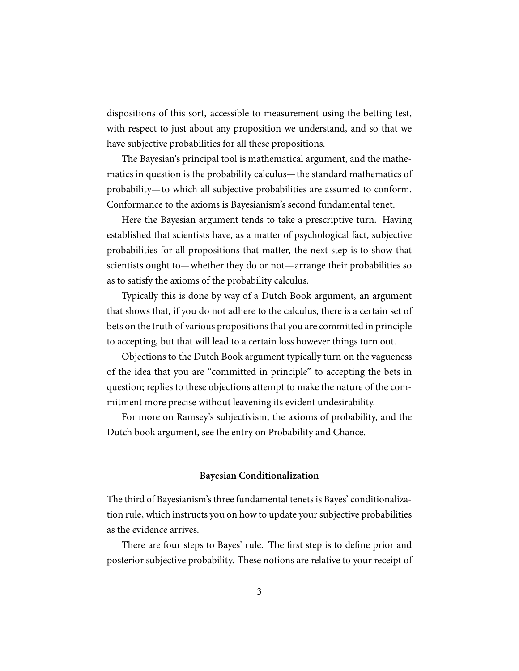dispositions of this sort, accessible to measurement using the betting test, with respect to just about any proposition we understand, and so that we have subjective probabilities for all these propositions.

The Bayesian's principal tool is mathematical argument, and the mathematics in question is the probability calculus—the standard mathematics of probability—to which all subjective probabilities are assumed to conform. Conformance to the axioms is Bayesianism's second fundamental tenet.

Here the Bayesian argument tends to take a prescriptive turn. Having established that scientists have, as a matter of psychological fact, subjective probabilities for all propositions that matter, the next step is to show that scientists ought to—whether they do or not—arrange their probabilities so as to satisfy the axioms of the probability calculus.

Typically this is done by way of a Dutch Book argument, an argument that shows that, if you do not adhere to the calculus, there is a certain set of bets on the truth of various propositions that you are committed in principle to accepting, but that will lead to a certain loss however things turn out.

Objections to the Dutch Book argument typically turn on the vagueness of the idea that you are "committed in principle" to accepting the bets in question; replies to these objections attempt to make the nature of the commitment more precise without leavening its evident undesirability.

For more on Ramsey's subjectivism, the axioms of probability, and the Dutch book argument, see the entry on Probability and Chance.

### **Bayesian Conditionalization**

The third of Bayesianism's three fundamental tenets is Bayes' conditionalization rule, which instructs you on how to update your subjective probabilities as the evidence arrives.

There are four steps to Bayes' rule. The first step is to define prior and posterior subjective probability. These notions are relative to your receipt of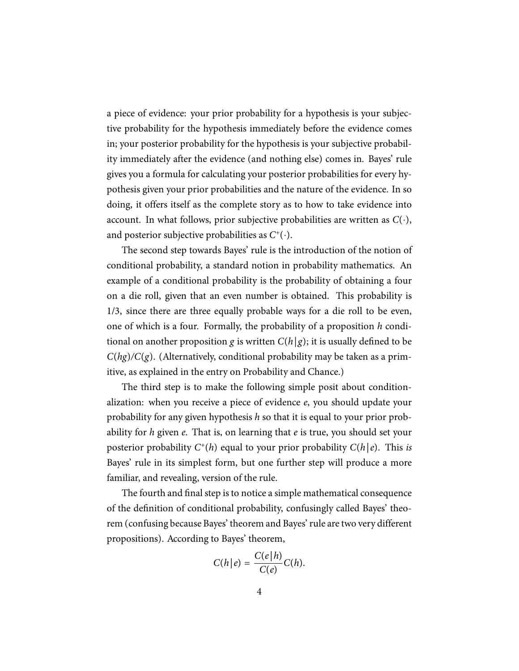a piece of evidence: your prior probability for a hypothesis is your subjective probability for the hypothesis immediately before the evidence comes in; your posterior probability for the hypothesis is your subjective probability immediately after the evidence (and nothing else) comes in. Bayes' rule gives you a formula for calculating your posterior probabilities for every hypothesis given your prior probabilities and the nature of the evidence. In so doing, it offers itself as the complete story as to how to take evidence into account. In what follows, prior subjective probabilities are written as  $C(\cdot)$ , and posterior subjective probabilities as  $C^+(\cdot)$ .

The second step towards Bayes' rule is the introduction of the notion of conditional probability, a standard notion in probability mathematics. An example of a conditional probability is the probability of obtaining a four on a die roll, given that an even number is obtained. This probability is 1/3, since there are three equally probable ways for a die roll to be even, one of which is a four. Formally, the probability of a proposition h conditional on another proposition g is written  $C(h|g)$ ; it is usually defined to be  $C(hg)/C(g)$ . (Alternatively, conditional probability may be taken as a primitive, as explained in the entry on Probability and Chance.)

The third step is to make the following simple posit about conditionalization: when you receive a piece of evidence e, you should update your probability for any given hypothesis  $h$  so that it is equal to your prior probability for  $h$  given  $e$ . That is, on learning that  $e$  is true, you should set your posterior probability  $C^+(h)$  equal to your prior probability  $C(h|e)$ . This is Bayes' rule in its simplest form, but one further step will produce a more familiar, and revealing, version of the rule.

The fourth and final step is to notice a simple mathematical consequence of the definition of conditional probability, confusingly called Bayes' theorem (confusing because Bayes' theorem and Bayes' rule are two very different propositions). According to Bayes' theorem,

$$
C(h|e) = \frac{C(e|h)}{C(e)}C(h).
$$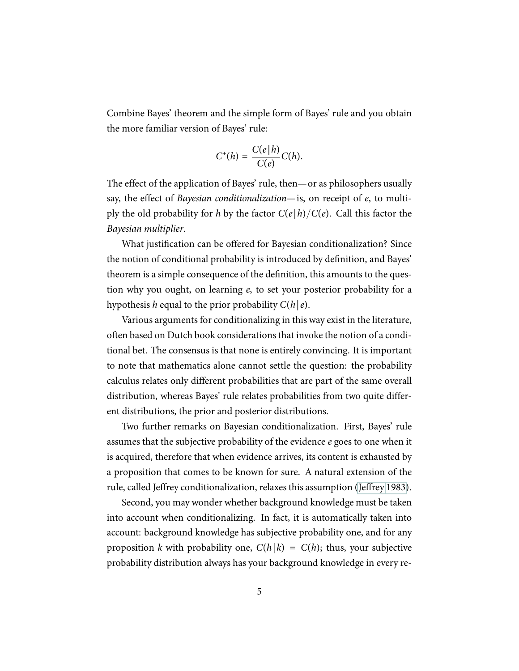Combine Bayes' theorem and the simple form of Bayes' rule and you obtain the more familiar version of Bayes' rule:

$$
C^+(h) = \frac{C(e|h)}{C(e)}C(h).
$$

The effect of the application of Bayes' rule, then—or as philosophers usually say, the effect of Bayesian conditionalization—is, on receipt of e, to multiply the old probability for h by the factor  $C(e|h)/C(e)$ . Call this factor the Bayesian multiplier.

What justification can be offered for Bayesian conditionalization? Since the notion of conditional probability is introduced by definition, and Bayes' theorem is a simple consequence of the definition, this amounts to the question why you ought, on learning e, to set your posterior probability for a hypothesis h equal to the prior probability  $C(h|e)$ .

Various arguments for conditionalizing in this way exist in the literature, often based on Dutch book considerations that invoke the notion of a conditional bet. The consensus is that none is entirely convincing. It is important to note that mathematics alone cannot settle the question: the probability calculus relates only different probabilities that are part of the same overall distribution, whereas Bayes' rule relates probabilities from two quite different distributions, the prior and posterior distributions.

Two further remarks on Bayesian conditionalization. First, Bayes' rule assumes that the subjective probability of the evidence *e* goes to one when it is acquired, therefore that when evidence arrives, its content is exhausted by a proposition that comes to be known for sure. A natural extension of the rule, called Jeffrey conditionalization, relaxes this assumption [\(Jeffrey 1983\)](#page-18-1).

Second, you may wonder whether background knowledge must be taken into account when conditionalizing. In fact, it is automatically taken into account: background knowledge has subjective probability one, and for any proposition k with probability one,  $C(h|k) = C(h)$ ; thus, your subjective probability distribution always has your background knowledge in every re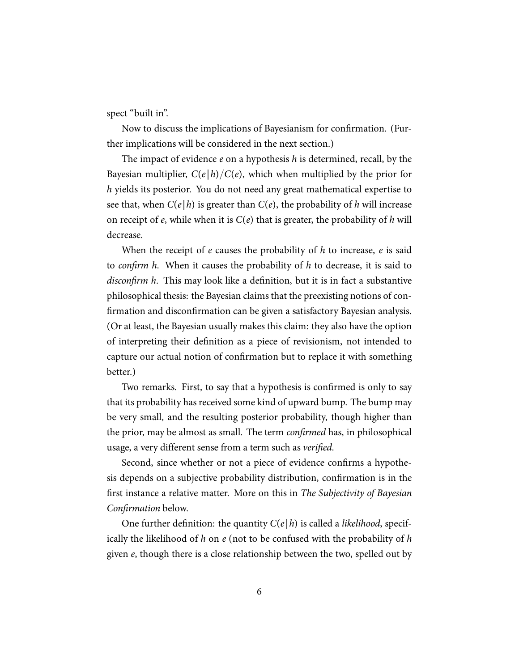spect "built in".

Now to discuss the implications of Bayesianism for confirmation. (Further implications will be considered in the next section.)

The impact of evidence  $e$  on a hypothesis  $h$  is determined, recall, by the Bayesian multiplier,  $C(e|h)/C(e)$ , which when multiplied by the prior for h yields its posterior. You do not need any great mathematical expertise to see that, when  $C(e|h)$  is greater than  $C(e)$ , the probability of h will increase on receipt of e, while when it is  $C(e)$  that is greater, the probability of h will decrease.

When the receipt of  $e$  causes the probability of  $h$  to increase,  $e$  is said to *confirm h*. When it causes the probability of  $h$  to decrease, it is said to *disconfirm h*. This may look like a definition, but it is in fact a substantive philosophical thesis: the Bayesian claims that the preexisting notions of confirmation and disconfirmation can be given a satisfactory Bayesian analysis. (Or at least, the Bayesian usually makes this claim: they also have the option of interpreting their definition as a piece of revisionism, not intended to capture our actual notion of confirmation but to replace it with something better.)

Two remarks. First, to say that a hypothesis is confirmed is only to say that its probability has received some kind of upward bump. The bump may be very small, and the resulting posterior probability, though higher than the prior, may be almost as small. The term *confirmed* has, in philosophical usage, a very different sense from a term such as *verified*.

Second, since whether or not a piece of evidence confirms a hypothesis depends on a subjective probability distribution, confirmation is in the first instance a relative matter. More on this in The Subjectivity of Bayesian Confirmation below.

One further definition: the quantity  $C(e|h)$  is called a *likelihood*, specifically the likelihood of h on e (not to be confused with the probability of h given  $e$ , though there is a close relationship between the two, spelled out by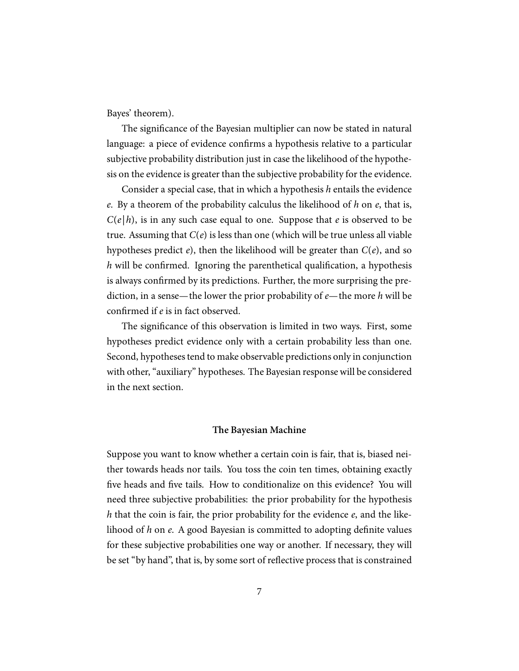Bayes' theorem).

The significance of the Bayesian multiplier can now be stated in natural language: a piece of evidence confirms a hypothesis relative to a particular subjective probability distribution just in case the likelihood of the hypothesis on the evidence is greater than the subjective probability for the evidence.

Consider a special case, that in which a hypothesis  $h$  entails the evidence e. By a theorem of the probability calculus the likelihood of  $h$  on  $e$ , that is,  $C(e|h)$ , is in any such case equal to one. Suppose that e is observed to be true. Assuming that  $C(e)$  is less than one (which will be true unless all viable hypotheses predict  $e$ ), then the likelihood will be greater than  $C(e)$ , and so h will be confirmed. Ignoring the parenthetical qualification, a hypothesis is always confirmed by its predictions. Further, the more surprising the prediction, in a sense—the lower the prior probability of  $e$ —the more h will be confirmed if e is in fact observed.

The significance of this observation is limited in two ways. First, some hypotheses predict evidence only with a certain probability less than one. Second, hypotheses tend to make observable predictions only in conjunction with other, "auxiliary" hypotheses. The Bayesian response will be considered in the next section.

#### **The Bayesian Machine**

Suppose you want to know whether a certain coin is fair, that is, biased neither towards heads nor tails. You toss the coin ten times, obtaining exactly five heads and five tails. How to conditionalize on this evidence? You will need three subjective probabilities: the prior probability for the hypothesis h that the coin is fair, the prior probability for the evidence  $e$ , and the likelihood of h on e. A good Bayesian is committed to adopting definite values for these subjective probabilities one way or another. If necessary, they will be set "by hand", that is, by some sort of reflective process that is constrained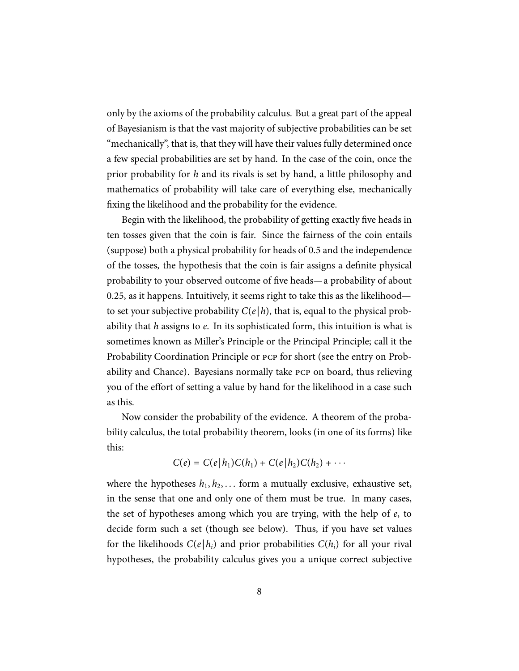only by the axioms of the probability calculus. But a great part of the appeal of Bayesianism is that the vast majority of subjective probabilities can be set "mechanically", that is, that they will have their values fully determined once a few special probabilities are set by hand. In the case of the coin, once the prior probability for h and its rivals is set by hand, a little philosophy and mathematics of probability will take care of everything else, mechanically fixing the likelihood and the probability for the evidence.

Begin with the likelihood, the probability of getting exactly five heads in ten tosses given that the coin is fair. Since the fairness of the coin entails (suppose) both a physical probability for heads of 0.5 and the independence of the tosses, the hypothesis that the coin is fair assigns a definite physical probability to your observed outcome of five heads—a probability of about 0.25, as it happens. Intuitively, it seems right to take this as the likelihood to set your subjective probability  $C(e|h)$ , that is, equal to the physical probability that  $h$  assigns to  $e$ . In its sophisticated form, this intuition is what is sometimes known as Miller's Principle or the Principal Principle; call it the Probability Coordination Principle or pcp for short (see the entry on Probability and Chance). Bayesians normally take pcp on board, thus relieving you of the effort of setting a value by hand for the likelihood in a case such as this.

Now consider the probability of the evidence. A theorem of the probability calculus, the total probability theorem, looks (in one of its forms) like this:

$$
C(e) = C(e|h_1)C(h_1) + C(e|h_2)C(h_2) + \cdots
$$

where the hypotheses  $h_1, h_2, \ldots$  form a mutually exclusive, exhaustive set, in the sense that one and only one of them must be true. In many cases, the set of hypotheses among which you are trying, with the help of e, to decide form such a set (though see below). Thus, if you have set values for the likelihoods  $C(e|h_i)$  and prior probabilities  $C(h_i)$  for all your rival hypotheses, the probability calculus gives you a unique correct subjective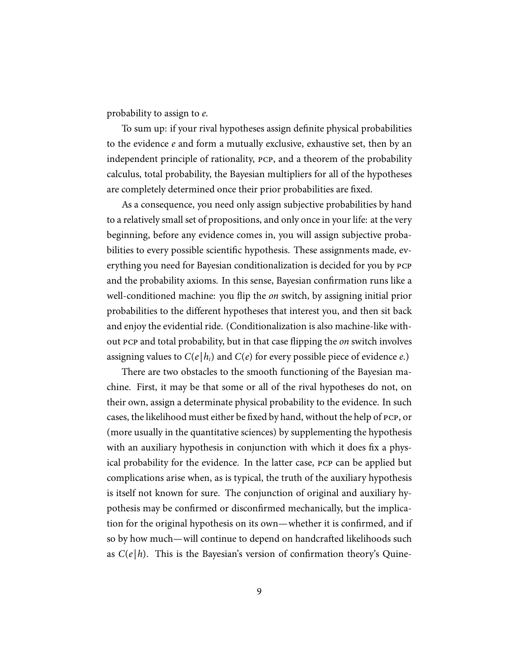probability to assign to e.

To sum up: if your rival hypotheses assign definite physical probabilities to the evidence e and form a mutually exclusive, exhaustive set, then by an independent principle of rationality, pcp, and a theorem of the probability calculus, total probability, the Bayesian multipliers for all of the hypotheses are completely determined once their prior probabilities are fixed.

As a consequence, you need only assign subjective probabilities by hand to a relatively small set of propositions, and only once in your life: at the very beginning, before any evidence comes in, you will assign subjective probabilities to every possible scientific hypothesis. These assignments made, everything you need for Bayesian conditionalization is decided for you by pcp and the probability axioms. In this sense, Bayesian confirmation runs like a well-conditioned machine: you flip the *on* switch, by assigning initial prior probabilities to the different hypotheses that interest you, and then sit back and enjoy the evidential ride. (Conditionalization is also machine-like without PCP and total probability, but in that case flipping the *on* switch involves assigning values to  $C(e|h_i)$  and  $C(e)$  for every possible piece of evidence e.)

There are two obstacles to the smooth functioning of the Bayesian machine. First, it may be that some or all of the rival hypotheses do not, on their own, assign a determinate physical probability to the evidence. In such cases, the likelihood must either be fixed by hand, without the help of pcp, or (more usually in the quantitative sciences) by supplementing the hypothesis with an auxiliary hypothesis in conjunction with which it does fix a physical probability for the evidence. In the latter case, pcp can be applied but complications arise when, as is typical, the truth of the auxiliary hypothesis is itself not known for sure. The conjunction of original and auxiliary hypothesis may be confirmed or disconfirmed mechanically, but the implication for the original hypothesis on its own—whether it is confirmed, and if so by how much—will continue to depend on handcrafted likelihoods such as  $C(e|h)$ . This is the Bayesian's version of confirmation theory's Quine-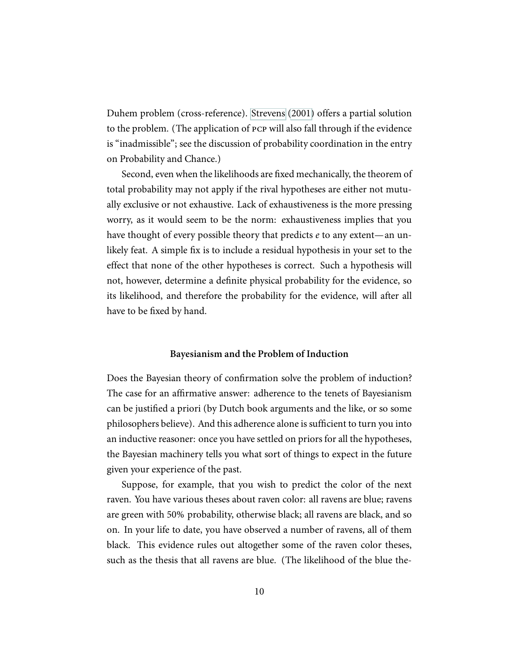Duhem problem (cross-reference). [Strevens](#page-18-2) [\(2001\)](#page-18-2) offers a partial solution to the problem. (The application of pcp will also fall through if the evidence is "inadmissible"; see the discussion of probability coordination in the entry on Probability and Chance.)

Second, even when the likelihoods are fixed mechanically, the theorem of total probability may not apply if the rival hypotheses are either not mutually exclusive or not exhaustive. Lack of exhaustiveness is the more pressing worry, as it would seem to be the norm: exhaustiveness implies that you have thought of every possible theory that predicts e to any extent—an unlikely feat. A simple fix is to include a residual hypothesis in your set to the effect that none of the other hypotheses is correct. Such a hypothesis will not, however, determine a definite physical probability for the evidence, so its likelihood, and therefore the probability for the evidence, will after all have to be fixed by hand.

## **Bayesianism and the Problem of Induction**

Does the Bayesian theory of confirmation solve the problem of induction? The case for an affirmative answer: adherence to the tenets of Bayesianism can be justified a priori (by Dutch book arguments and the like, or so some philosophers believe). And this adherence alone is sufficient to turn you into an inductive reasoner: once you have settled on priors for all the hypotheses, the Bayesian machinery tells you what sort of things to expect in the future given your experience of the past.

Suppose, for example, that you wish to predict the color of the next raven. You have various theses about raven color: all ravens are blue; ravens are green with 50% probability, otherwise black; all ravens are black, and so on. In your life to date, you have observed a number of ravens, all of them black. This evidence rules out altogether some of the raven color theses, such as the thesis that all ravens are blue. (The likelihood of the blue the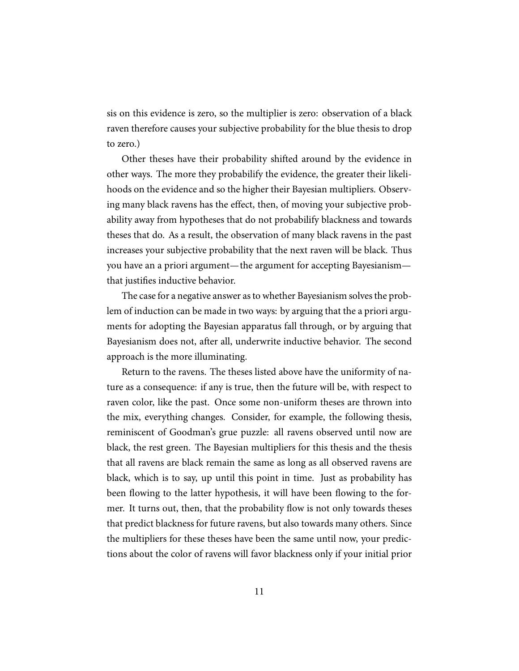sis on this evidence is zero, so the multiplier is zero: observation of a black raven therefore causes your subjective probability for the blue thesis to drop to zero.)

Other theses have their probability shifted around by the evidence in other ways. The more they probabilify the evidence, the greater their likelihoods on the evidence and so the higher their Bayesian multipliers. Observing many black ravens has the effect, then, of moving your subjective probability away from hypotheses that do not probabilify blackness and towards theses that do. As a result, the observation of many black ravens in the past increases your subjective probability that the next raven will be black. Thus you have an a priori argument—the argument for accepting Bayesianism that justifies inductive behavior.

The case for a negative answer as to whether Bayesianism solves the problem of induction can be made in two ways: by arguing that the a priori arguments for adopting the Bayesian apparatus fall through, or by arguing that Bayesianism does not, after all, underwrite inductive behavior. The second approach is the more illuminating.

Return to the ravens. The theses listed above have the uniformity of nature as a consequence: if any is true, then the future will be, with respect to raven color, like the past. Once some non-uniform theses are thrown into the mix, everything changes. Consider, for example, the following thesis, reminiscent of Goodman's grue puzzle: all ravens observed until now are black, the rest green. The Bayesian multipliers for this thesis and the thesis that all ravens are black remain the same as long as all observed ravens are black, which is to say, up until this point in time. Just as probability has been flowing to the latter hypothesis, it will have been flowing to the former. It turns out, then, that the probability flow is not only towards theses that predict blackness for future ravens, but also towards many others. Since the multipliers for these theses have been the same until now, your predictions about the color of ravens will favor blackness only if your initial prior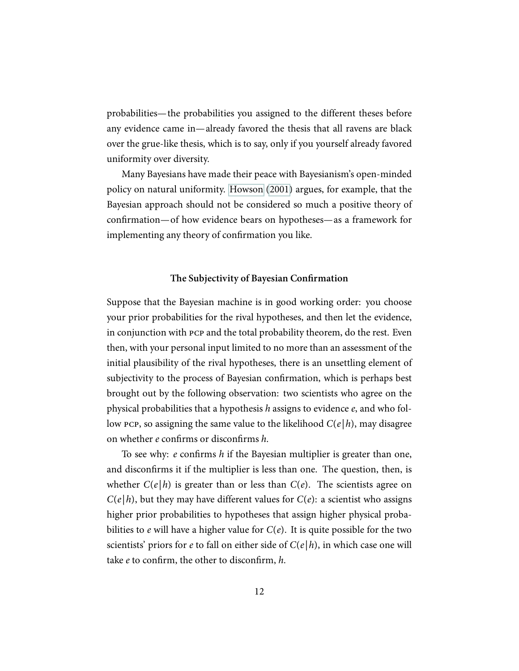probabilities—the probabilities you assigned to the different theses before any evidence came in—already favored the thesis that all ravens are black over the grue-like thesis, which is to say, only if you yourself already favored uniformity over diversity.

Many Bayesians have made their peace with Bayesianism's open-minded policy on natural uniformity. [Howson](#page-18-3) [\(2001\)](#page-18-3) argues, for example, that the Bayesian approach should not be considered so much a positive theory of confirmation—of how evidence bears on hypotheses—as a framework for implementing any theory of confirmation you like.

## **The Subjectivity of Bayesian Confirmation**

Suppose that the Bayesian machine is in good working order: you choose your prior probabilities for the rival hypotheses, and then let the evidence, in conjunction with pcp and the total probability theorem, do the rest. Even then, with your personal input limited to no more than an assessment of the initial plausibility of the rival hypotheses, there is an unsettling element of subjectivity to the process of Bayesian confirmation, which is perhaps best brought out by the following observation: two scientists who agree on the physical probabilities that a hypothesis h assigns to evidence e, and who follow PCP, so assigning the same value to the likelihood  $C(e|h)$ , may disagree on whether e confirms or disconfirms h.

To see why: *e* confirms *h* if the Bayesian multiplier is greater than one, and disconfirms it if the multiplier is less than one. The question, then, is whether  $C(e|h)$  is greater than or less than  $C(e)$ . The scientists agree on  $C(e|h)$ , but they may have different values for  $C(e)$ : a scientist who assigns higher prior probabilities to hypotheses that assign higher physical probabilities to e will have a higher value for  $C(e)$ . It is quite possible for the two scientists' priors for e to fall on either side of  $C(e|h)$ , in which case one will take  $e$  to confirm, the other to disconfirm,  $h$ .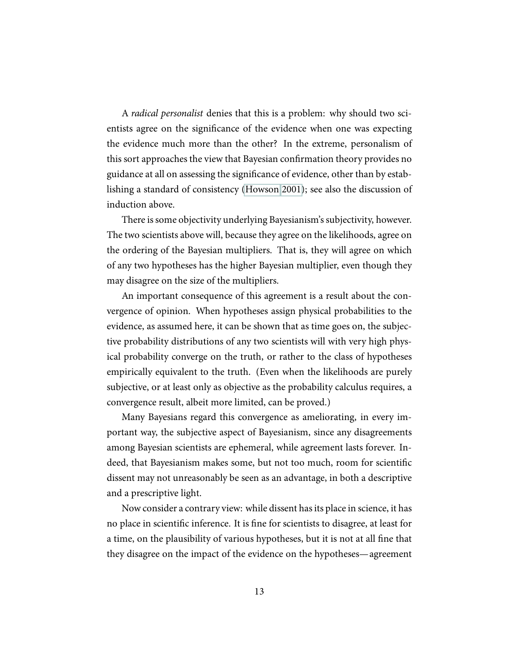A radical personalist denies that this is a problem: why should two scientists agree on the significance of the evidence when one was expecting the evidence much more than the other? In the extreme, personalism of this sort approaches the view that Bayesian confirmation theory provides no guidance at all on assessing the significance of evidence, other than by establishing a standard of consistency [\(Howson 2001\)](#page-18-3); see also the discussion of induction above.

There is some objectivity underlying Bayesianism's subjectivity, however. The two scientists above will, because they agree on the likelihoods, agree on the ordering of the Bayesian multipliers. That is, they will agree on which of any two hypotheses has the higher Bayesian multiplier, even though they may disagree on the size of the multipliers.

An important consequence of this agreement is a result about the convergence of opinion. When hypotheses assign physical probabilities to the evidence, as assumed here, it can be shown that as time goes on, the subjective probability distributions of any two scientists will with very high physical probability converge on the truth, or rather to the class of hypotheses empirically equivalent to the truth. (Even when the likelihoods are purely subjective, or at least only as objective as the probability calculus requires, a convergence result, albeit more limited, can be proved.)

Many Bayesians regard this convergence as ameliorating, in every important way, the subjective aspect of Bayesianism, since any disagreements among Bayesian scientists are ephemeral, while agreement lasts forever. Indeed, that Bayesianism makes some, but not too much, room for scientific dissent may not unreasonably be seen as an advantage, in both a descriptive and a prescriptive light.

Now consider a contrary view: while dissent has its place in science, it has no place in scientific inference. It is fine for scientists to disagree, at least for a time, on the plausibility of various hypotheses, but it is not at all fine that they disagree on the impact of the evidence on the hypotheses—agreement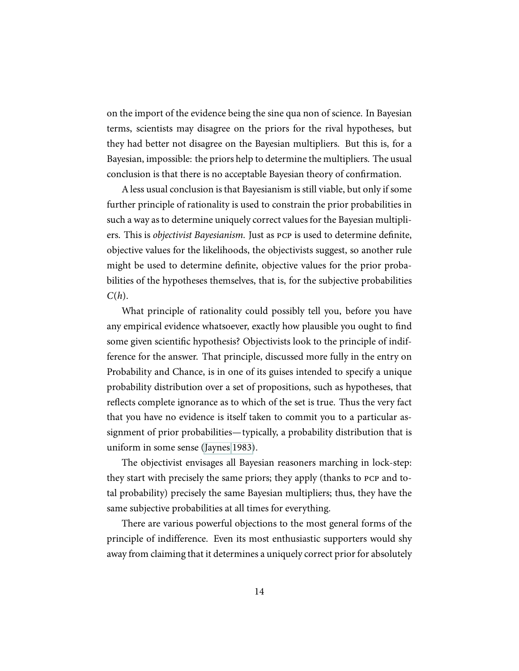on the import of the evidence being the sine qua non of science. In Bayesian terms, scientists may disagree on the priors for the rival hypotheses, but they had better not disagree on the Bayesian multipliers. But this is, for a Bayesian, impossible: the priors help to determine the multipliers. The usual conclusion is that there is no acceptable Bayesian theory of confirmation.

A less usual conclusion is that Bayesianism is still viable, but only if some further principle of rationality is used to constrain the prior probabilities in such a way as to determine uniquely correct values for the Bayesian multipliers. This is objectivist Bayesianism. Just as pcp is used to determine definite, objective values for the likelihoods, the objectivists suggest, so another rule might be used to determine definite, objective values for the prior probabilities of the hypotheses themselves, that is, for the subjective probabilities  $C(h)$ .

What principle of rationality could possibly tell you, before you have any empirical evidence whatsoever, exactly how plausible you ought to find some given scientific hypothesis? Objectivists look to the principle of indifference for the answer. That principle, discussed more fully in the entry on Probability and Chance, is in one of its guises intended to specify a unique probability distribution over a set of propositions, such as hypotheses, that reflects complete ignorance as to which of the set is true. Thus the very fact that you have no evidence is itself taken to commit you to a particular assignment of prior probabilities—typically, a probability distribution that is uniform in some sense [\(Jaynes 1983\)](#page-18-4).

The objectivist envisages all Bayesian reasoners marching in lock-step: they start with precisely the same priors; they apply (thanks to pcp and total probability) precisely the same Bayesian multipliers; thus, they have the same subjective probabilities at all times for everything.

There are various powerful objections to the most general forms of the principle of indifference. Even its most enthusiastic supporters would shy away from claiming that it determines a uniquely correct prior for absolutely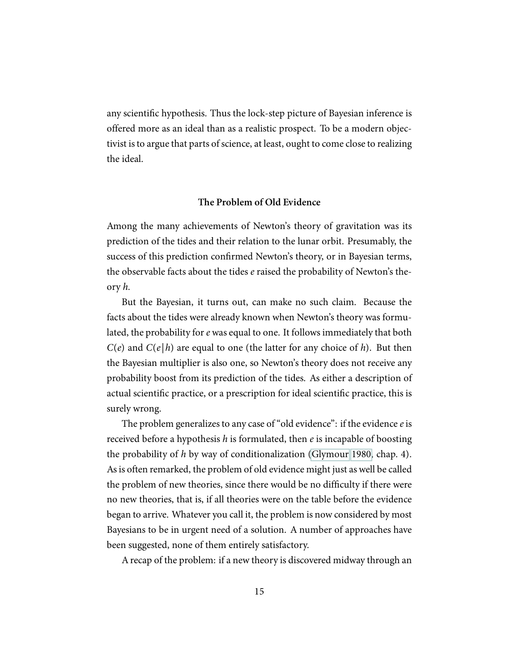any scientific hypothesis. Thus the lock-step picture of Bayesian inference is offered more as an ideal than as a realistic prospect. To be a modern objectivist is to argue that parts of science, at least, ought to come close to realizing the ideal.

# **The Problem of Old Evidence**

Among the many achievements of Newton's theory of gravitation was its prediction of the tides and their relation to the lunar orbit. Presumably, the success of this prediction confirmed Newton's theory, or in Bayesian terms, the observable facts about the tides e raised the probability of Newton's theory h.

But the Bayesian, it turns out, can make no such claim. Because the facts about the tides were already known when Newton's theory was formulated, the probability for e was equal to one. It follows immediately that both  $C(e)$  and  $C(e|h)$  are equal to one (the latter for any choice of h). But then the Bayesian multiplier is also one, so Newton's theory does not receive any probability boost from its prediction of the tides. As either a description of actual scientific practice, or a prescription for ideal scientific practice, this is surely wrong.

The problem generalizes to any case of "old evidence": if the evidence e is received before a hypothesis h is formulated, then  $e$  is incapable of boosting the probability of h by way of conditionalization [\(Glymour 1980,](#page-18-5) chap. 4). As is often remarked, the problem of old evidence might just as well be called the problem of new theories, since there would be no difficulty if there were no new theories, that is, if all theories were on the table before the evidence began to arrive. Whatever you call it, the problem is now considered by most Bayesians to be in urgent need of a solution. A number of approaches have been suggested, none of them entirely satisfactory.

A recap of the problem: if a new theory is discovered midway through an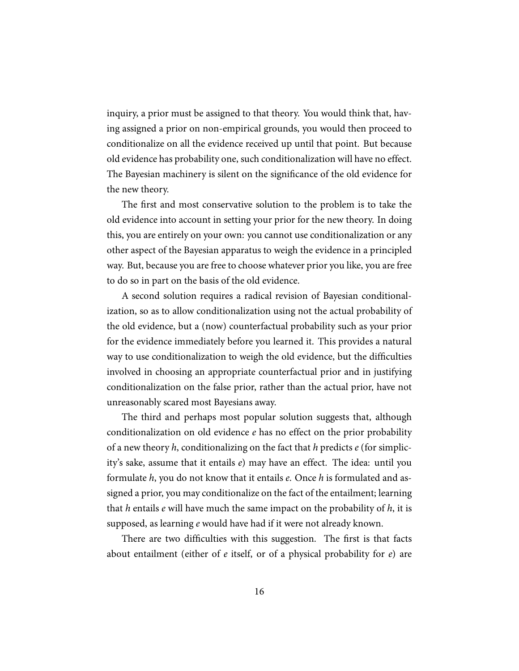inquiry, a prior must be assigned to that theory. You would think that, having assigned a prior on non-empirical grounds, you would then proceed to conditionalize on all the evidence received up until that point. But because old evidence has probability one, such conditionalization will have no effect. The Bayesian machinery is silent on the significance of the old evidence for the new theory.

The first and most conservative solution to the problem is to take the old evidence into account in setting your prior for the new theory. In doing this, you are entirely on your own: you cannot use conditionalization or any other aspect of the Bayesian apparatus to weigh the evidence in a principled way. But, because you are free to choose whatever prior you like, you are free to do so in part on the basis of the old evidence.

A second solution requires a radical revision of Bayesian conditionalization, so as to allow conditionalization using not the actual probability of the old evidence, but a (now) counterfactual probability such as your prior for the evidence immediately before you learned it. This provides a natural way to use conditionalization to weigh the old evidence, but the difficulties involved in choosing an appropriate counterfactual prior and in justifying conditionalization on the false prior, rather than the actual prior, have not unreasonably scared most Bayesians away.

The third and perhaps most popular solution suggests that, although conditionalization on old evidence  $e$  has no effect on the prior probability of a new theory h, conditionalizing on the fact that h predicts  $e$  (for simplicity's sake, assume that it entails e) may have an effect. The idea: until you formulate h, you do not know that it entails  $e$ . Once h is formulated and assigned a prior, you may conditionalize on the fact of the entailment; learning that h entails e will have much the same impact on the probability of  $h$ , it is supposed, as learning e would have had if it were not already known.

There are two difficulties with this suggestion. The first is that facts about entailment (either of  $e$  itself, or of a physical probability for  $e$ ) are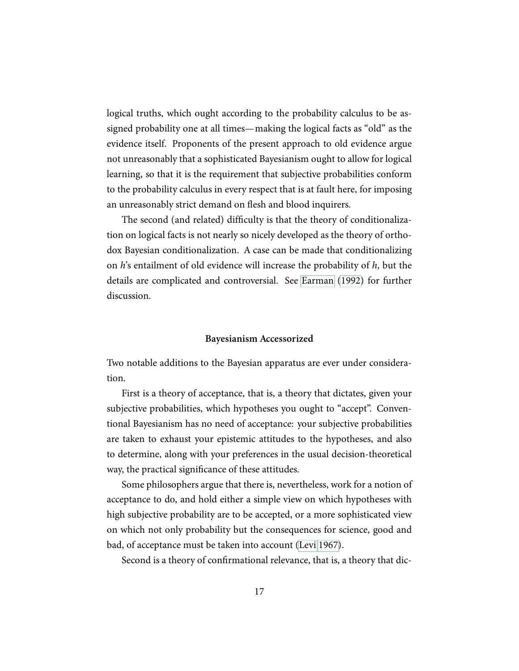logical truths, which ought according to the probability calculus to be assigned probability one at all times—making the logical facts as "old" as the evidence itself. Proponents of the present approach to old evidence argue not unreasonably that a sophisticated Bayesianism ought to allow for logical learning, so that it is the requirement that subjective probabilities conform to the probability calculus in every respect that is at fault here, for imposing an unreasonably strict demand on flesh and blood inquirers.

The second (and related) difficulty is that the theory of conditionalization on logical facts is not nearly so nicely developed as the theory of orthodox Bayesian conditionalization. A case can be made that conditionalizing on  $h$ 's entailment of old evidence will increase the probability of  $h$ , but the details are complicated and controversial. See [Earman](#page-18-6) [\(1992\)](#page-18-6) for further discussion.

#### **Bayesianism Accessorized**

Two notable additions to the Bayesian apparatus are ever under consideration.

First is a theory of acceptance, that is, a theory that dictates, given your subjective probabilities, which hypotheses you ought to "accept". Conventional Bayesianism has no need of acceptance: your subjective probabilities are taken to exhaust your epistemic attitudes to the hypotheses, and also to determine, along with your preferences in the usual decision-theoretical way, the practical significance of these attitudes.

Some philosophers argue that there is, nevertheless, work for a notion of acceptance to do, and hold either a simple view on which hypotheses with high subjective probability are to be accepted, or a more sophisticated view on which not only probability but the consequences for science, good and bad, of acceptance must be taken into account [\(Levi 1967\)](#page-18-7).

Second is a theory of confirmational relevance, that is, a theory that dic-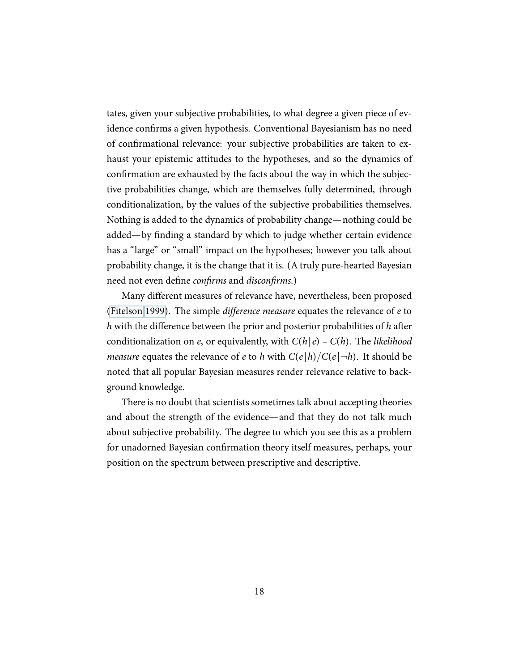tates, given your subjective probabilities, to what degree a given piece of evidence confirms a given hypothesis. Conventional Bayesianism has no need of confirmational relevance: your subjective probabilities are taken to exhaust your epistemic attitudes to the hypotheses, and so the dynamics of confirmation are exhausted by the facts about the way in which the subjective probabilities change, which are themselves fully determined, through conditionalization, by the values of the subjective probabilities themselves. Nothing is added to the dynamics of probability change—nothing could be added—by finding a standard by which to judge whether certain evidence has a "large" or "small" impact on the hypotheses; however you talk about probability change, it is the change that it is. (A truly pure-hearted Bayesian need not even define *confirms* and *disconfirms*.)

Many different measures of relevance have, nevertheless, been proposed [\(Fitelson 1999\)](#page-18-8). The simple difference measure equates the relevance of e to h with the difference between the prior and posterior probabilities of h after conditionalization on e, or equivalently, with  $C(h|e) - C(h)$ . The likelihood *measure* equates the relevance of e to h with  $C(e|h)/C(e|\neg h)$ . It should be noted that all popular Bayesian measures render relevance relative to background knowledge.

There is no doubt that scientists sometimes talk about accepting theories and about the strength of the evidence—and that they do not talk much about subjective probability. The degree to which you see this as a problem for unadorned Bayesian confirmation theory itself measures, perhaps, your position on the spectrum between prescriptive and descriptive.